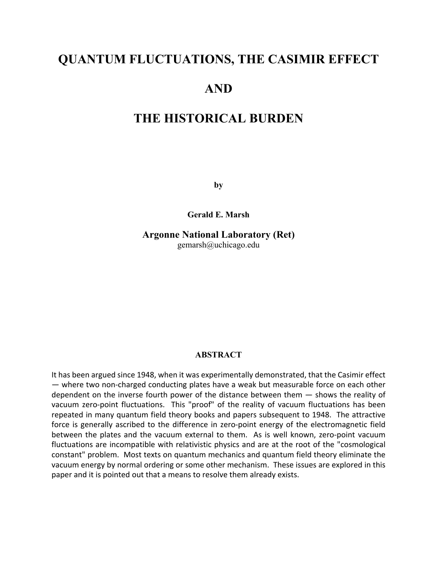# **QUANTUM FLUCTUATIONS, THE CASIMIR EFFECT**

## **AND**

## **THE HISTORICAL BURDEN**

**by**

**Gerald E. Marsh**

**Argonne National Laboratory (Ret)** gemarsh@uchicago.edu

#### **ABSTRACT**

It has been argued since 1948, when it was experimentally demonstrated, that the Casimir effect — where two non-charged conducting plates have a weak but measurable force on each other dependent on the inverse fourth power of the distance between them — shows the reality of vacuum zero-point fluctuations. This "proof" of the reality of vacuum fluctuations has been repeated in many quantum field theory books and papers subsequent to 1948. The attractive force is generally ascribed to the difference in zero-point energy of the electromagnetic field between the plates and the vacuum external to them. As is well known, zero-point vacuum fluctuations are incompatible with relativistic physics and are at the root of the "cosmological constant" problem. Most texts on quantum mechanics and quantum field theory eliminate the vacuum energy by normal ordering or some other mechanism. These issues are explored in this paper and it is pointed out that a means to resolve them already exists.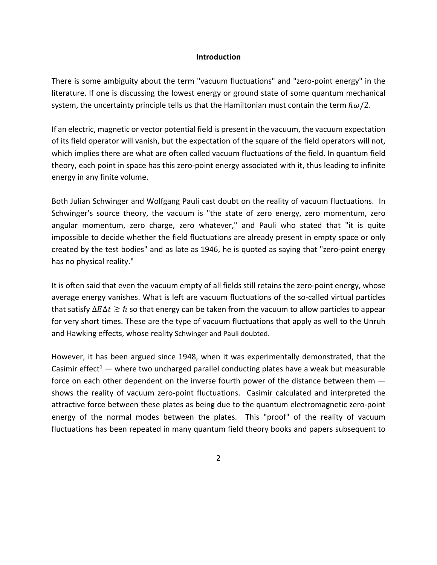#### **Introduction**

There is some ambiguity about the term "vacuum fluctuations" and "zero-point energy" in the literature. If one is discussing the lowest energy or ground state of some quantum mechanical system, the uncertainty principle tells us that the Hamiltonian must contain the term  $\hbar\omega/2$ .

If an electric, magnetic or vector potential field is present in the vacuum, the vacuum expectation of its field operator will vanish, but the expectation of the square of the field operators will not, which implies there are what are often called vacuum fluctuations of the field. In quantum field theory, each point in space has this zero-point energy associated with it, thus leading to infinite energy in any finite volume.

Both Julian Schwinger and Wolfgang Pauli cast doubt on the reality of vacuum fluctuations. In Schwinger's source theory, the vacuum is "the state of zero energy, zero momentum, zero angular momentum, zero charge, zero whatever," and Pauli who stated that "it is quite impossible to decide whether the field fluctuations are already present in empty space or only created by the test bodies" and as late as 1946, he is quoted as saying that "zero-point energy has no physical reality."

It is often said that even the vacuum empty of all fields still retains the zero-point energy, whose average energy vanishes. What is left are vacuum fluctuations of the so-called virtual particles that satisfy  $\Delta E \Delta t \gtrsim \hbar$  so that energy can be taken from the vacuum to allow particles to appear for very short times. These are the type of vacuum fluctuations that apply as well to the Unruh and Hawking effects, whose reality Schwinger and Pauli doubted.

However, it has been argued since 1948, when it was experimentally demonstrated, that the Casimir effect<sup>1</sup> — where two uncharged parallel conducting plates have a weak but measurable force on each other dependent on the inverse fourth power of the distance between them shows the reality of vacuum zero-point fluctuations. Casimir calculated and interpreted the attractive force between these plates as being due to the quantum electromagnetic zero-point energy of the normal modes between the plates. This "proof" of the reality of vacuum fluctuations has been repeated in many quantum field theory books and papers subsequent to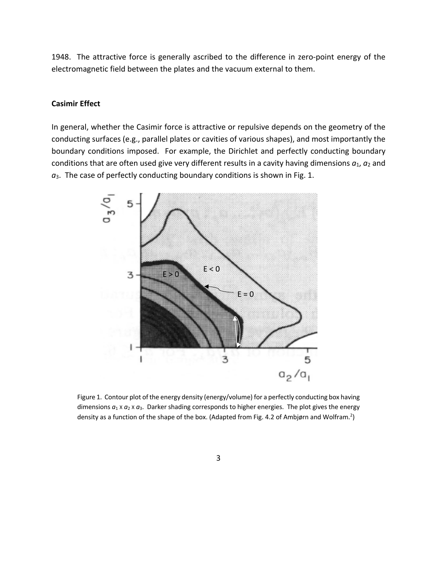1948. The attractive force is generally ascribed to the difference in zero-point energy of the electromagnetic field between the plates and the vacuum external to them.

#### **Casimir Effect**

In general, whether the Casimir force is attractive or repulsive depends on the geometry of the conducting surfaces (e.g., parallel plates or cavities of various shapes), and most importantly the boundary conditions imposed. For example, the Dirichlet and perfectly conducting boundary conditions that are often used give very different results in a cavity having dimensions  $a_1$ ,  $a_2$  and *a*3. The case of perfectly conducting boundary conditions is shown in Fig. 1.



Figure 1. Contour plot of the energy density (energy/volume) for a perfectly conducting box having dimensions  $a_1 \times a_2 \times a_3$ . Darker shading corresponds to higher energies. The plot gives the energy density as a function of the shape of the box. (Adapted from Fig. 4.2 of Ambjørn and Wolfram.<sup>2</sup>)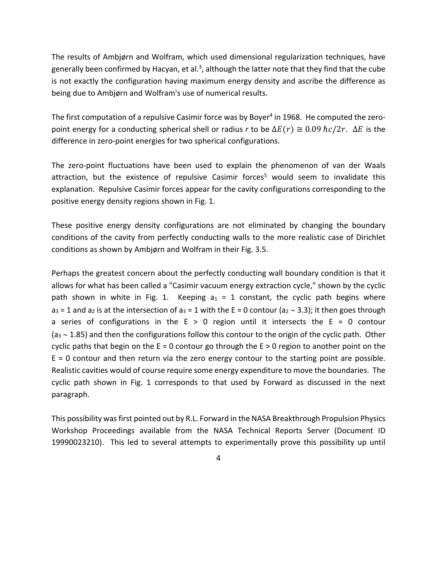The results of Ambjørn and Wolfram, which used dimensional regularization techniques, have generally been confirmed by Hacyan, et al.<sup>3</sup>, although the latter note that they find that the cube is not exactly the configuration having maximum energy density and ascribe the difference as being due to Ambjørn and Wolfram's use of numerical results.

The first computation of a repulsive Casimir force was by Boyer<sup>4</sup> in 1968. He computed the zeropoint energy for a conducting spherical shell or radius *r* to be  $\Delta E(r) \cong 0.09$   $\hbar c/2r$ .  $\Delta E$  is the difference in zero-point energies for two spherical configurations.

The zero-point fluctuations have been used to explain the phenomenon of van der Waals attraction, but the existence of repulsive Casimir forces<sup>5</sup> would seem to invalidate this explanation. Repulsive Casimir forces appear for the cavity configurations corresponding to the positive energy density regions shown in Fig. 1.

These positive energy density configurations are not eliminated by changing the boundary conditions of the cavity from perfectly conducting walls to the more realistic case of Dirichlet conditions as shown by Ambjørn and Wolfram in their Fig. 3.5.

Perhaps the greatest concern about the perfectly conducting wall boundary condition is that it allows for what has been called a "Casimir vacuum energy extraction cycle," shown by the cyclic path shown in white in Fig. 1. Keeping  $a_1 = 1$  constant, the cyclic path begins where  $a_3$  = 1 and  $a_2$  is at the intersection of  $a_3$  = 1 with the E = 0 contour ( $a_2 \sim 3.3$ ); it then goes through a series of configurations in the  $E > 0$  region until it intersects the  $E = 0$  contour  $(a_3 \sim 1.85)$  and then the configurations follow this contour to the origin of the cyclic path. Other cyclic paths that begin on the  $E = 0$  contour go through the  $E > 0$  region to another point on the  $E = 0$  contour and then return via the zero energy contour to the starting point are possible. Realistic cavities would of course require some energy expenditure to move the boundaries. The cyclic path shown in Fig. 1 corresponds to that used by Forward as discussed in the next paragraph.

This possibility was first pointed out by R.L. Forward in the NASA Breakthrough Propulsion Physics Workshop Proceedings available from the NASA Technical Reports Server (Document ID 19990023210). This led to several attempts to experimentally prove this possibility up until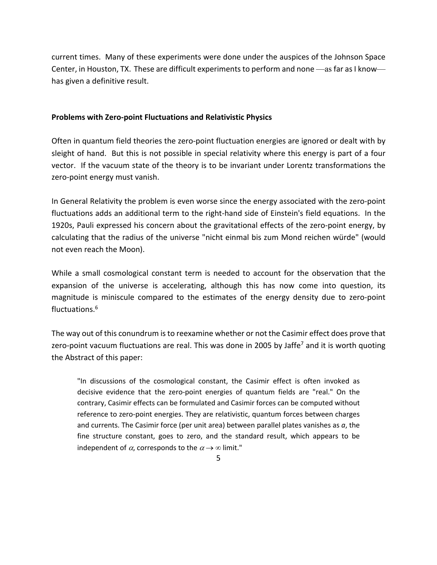current times. Many of these experiments were done under the auspices of the Johnson Space Center, in Houston, TX. These are difficult experiments to perform and none —as far as I know has given a definitive result.

#### **Problems with Zero-point Fluctuations and Relativistic Physics**

Often in quantum field theories the zero-point fluctuation energies are ignored or dealt with by sleight of hand. But this is not possible in special relativity where this energy is part of a four vector. If the vacuum state of the theory is to be invariant under Lorentz transformations the zero-point energy must vanish.

In General Relativity the problem is even worse since the energy associated with the zero-point fluctuations adds an additional term to the right-hand side of Einstein's field equations. In the 1920s, Pauli expressed his concern about the gravitational effects of the zero-point energy, by calculating that the radius of the universe "nicht einmal bis zum Mond reichen würde" (would not even reach the Moon).

While a small cosmological constant term is needed to account for the observation that the expansion of the universe is accelerating, although this has now come into question, its magnitude is miniscule compared to the estimates of the energy density due to zero-point fluctuations.6

The way out of this conundrum is to reexamine whether or not the Casimir effect does prove that zero-point vacuum fluctuations are real. This was done in 2005 by Jaffe<sup>7</sup> and it is worth quoting the Abstract of this paper:

"In discussions of the cosmological constant, the Casimir effect is often invoked as decisive evidence that the zero-point energies of quantum fields are "real." On the contrary, Casimir effects can be formulated and Casimir forces can be computed without reference to zero-point energies. They are relativistic, quantum forces between charges and currents. The Casimir force (per unit area) between parallel plates vanishes as *a*, the fine structure constant, goes to zero, and the standard result, which appears to be independent of  $\alpha$ , corresponds to the  $\alpha \rightarrow \infty$  limit."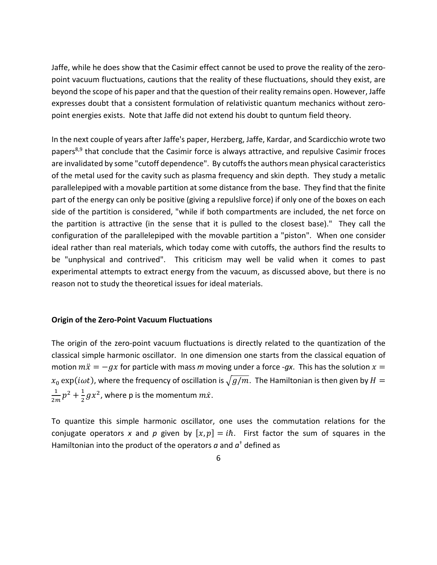Jaffe, while he does show that the Casimir effect cannot be used to prove the reality of the zeropoint vacuum fluctuations, cautions that the reality of these fluctuations, should they exist, are beyond the scope of his paper and that the question of their reality remains open. However, Jaffe expresses doubt that a consistent formulation of relativistic quantum mechanics without zeropoint energies exists. Note that Jaffe did not extend his doubt to quntum field theory.

In the next couple of years after Jaffe's paper, Herzberg, Jaffe, Kardar, and Scardicchio wrote two papers<sup>8,9</sup> that conclude that the Casimir force is always attractive, and repulsive Casimir froces are invalidated by some "cutoff dependence". By cutoffs the authors mean physical caracteristics of the metal used for the cavity such as plasma frequency and skin depth. They study a metalic parallelepiped with a movable partition at some distance from the base. They find that the finite part of the energy can only be positive (giving a repulslive force) if only one of the boxes on each side of the partition is considered, "while if both compartments are included, the net force on the partition is attractive (in the sense that it is pulled to the closest base)." They call the configuration of the parallelepiped with the movable partition a "piston". When one consider ideal rather than real materials, which today come with cutoffs, the authors find the results to be "unphysical and contrived". This criticism may well be valid when it comes to past experimental attempts to extract energy from the vacuum, as discussed above, but there is no reason not to study the theoretical issues for ideal materials.

#### **Origin of the Zero-Point Vacuum Fluctuations**

The origin of the zero-point vacuum fluctuations is directly related to the quantization of the classical simple harmonic oscillator. In one dimension one starts from the classical equation of motion  $m\ddot{x} = -gx$  for particle with mass *m* moving under a force -*qx*. This has the solution  $x =$  $x_0 \exp(i\omega t)$ , where the frequency of oscillation is  $\sqrt{g/m}$ . The Hamiltonian is then given by  $H =$  $\frac{1}{2m}p^2 + \frac{1}{2}gx^2$ , where p is the momentum  $m\dot{x}$ .

To quantize this simple harmonic oscillator, one uses the commutation relations for the conjugate operators x and p given by  $[x, p] = i\hbar$ . First factor the sum of squares in the Hamiltonian into the product of the operators  $a$  and  $a<sup>†</sup>$  defined as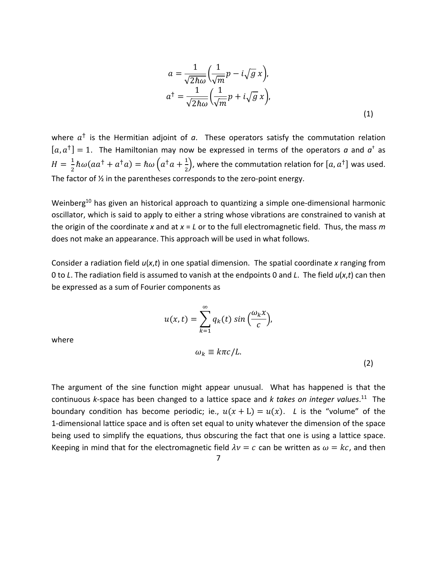$$
a = \frac{1}{\sqrt{2\hbar\omega}} \left(\frac{1}{\sqrt{m}}p - i\sqrt{g}x\right),
$$
  
\n
$$
a^{\dagger} = \frac{1}{\sqrt{2\hbar\omega}} \left(\frac{1}{\sqrt{m}}p + i\sqrt{g}x\right),
$$
  
\n(1)

where  $a^{\dagger}$  is the Hermitian adjoint of  $a$ . These operators satisfy the commutation relation  $[a, a^{\dagger}] = 1$ . The Hamiltonian may now be expressed in terms of the operators *a* and  $a^{\dagger}$  as  $H = \frac{1}{2} \hbar \omega (a a^{\dagger} + a^{\dagger} a) = \hbar \omega \left( a^{\dagger} a + \frac{1}{2} \right)$ , where the commutation relation for  $[a, a^{\dagger}]$  was used. The factor of ½ in the parentheses corresponds to the zero-point energy.

Weinberg<sup>10</sup> has given an historical approach to quantizing a simple one-dimensional harmonic oscillator, which is said to apply to either a string whose vibrations are constrained to vanish at the origin of the coordinate *x* and at *x* = *L* or to the full electromagnetic field. Thus, the mass *m* does not make an appearance. This approach will be used in what follows.

Consider a radiation field *u*(*x*,*t*) in one spatial dimension. The spatial coordinate *x* ranging from 0 to *L*. The radiation field is assumed to vanish at the endpoints 0 and *L*. The field *u*(*x*,*t*) can then be expressed as a sum of Fourier components as

$$
u(x,t) = \sum_{k=1}^{\infty} q_k(t) \sin\left(\frac{\omega_k x}{c}\right),
$$

where

$$
\omega_k \equiv k\pi c/L. \tag{2}
$$

The argument of the sine function might appear unusual. What has happened is that the continuous *k*-space has been changed to a lattice space and *k takes on integer values*. 11 The boundary condition has become periodic; ie.,  $u(x + L) = u(x)$ . *L* is the "volume" of the 1-dimensional lattice space and is often set equal to unity whatever the dimension of the space being used to simplify the equations, thus obscuring the fact that one is using a lattice space. Keeping in mind that for the electromagnetic field  $\lambda v = c$  can be written as  $\omega = kc$ , and then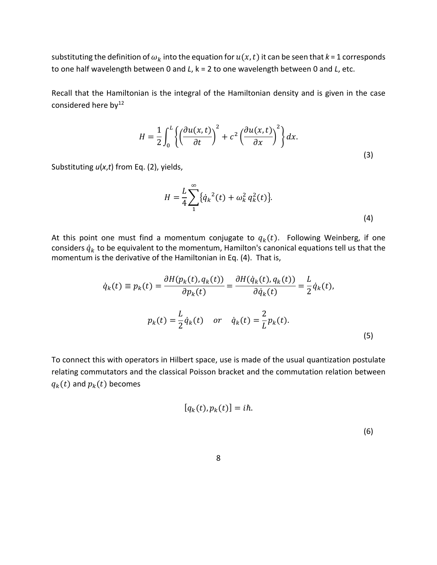substituting the definition of  $\omega_k$  into the equation for  $u(x,t)$  it can be seen that  $k = 1$  corresponds to one half wavelength between 0 and *L*, k = 2 to one wavelength between 0 and *L*, etc.

Recall that the Hamiltonian is the integral of the Hamiltonian density and is given in the case considered here by<sup>12</sup>

$$
H = \frac{1}{2} \int_0^L \left\{ \left( \frac{\partial u(x, t)}{\partial t} \right)^2 + c^2 \left( \frac{\partial u(x, t)}{\partial x} \right)^2 \right\} dx.
$$
\n(3)

Substituting *u*(*x*,*t*) from Eq. (2), yields,

$$
H = \frac{L}{4} \sum_{1}^{\infty} {\{\dot{q}_k}^2(t) + \omega_k^2 q_k^2(t) \}.
$$
\n(4)

At this point one must find a momentum conjugate to  $q_k(t)$ . Following Weinberg, if one considers  $\dot{q}_k$  to be equivalent to the momentum, Hamilton's canonical equations tell us that the momentum is the derivative of the Hamiltonian in Eq. (4). That is,

$$
\dot{q}_k(t) \equiv p_k(t) = \frac{\partial H(p_k(t), q_k(t))}{\partial p_k(t)} = \frac{\partial H(\dot{q}_k(t), q_k(t))}{\partial \dot{q}_k(t)} = \frac{L}{2} \dot{q}_k(t),
$$
\n
$$
p_k(t) = \frac{L}{2} \dot{q}_k(t) \quad \text{or} \quad \dot{q}_k(t) = \frac{2}{L} p_k(t).
$$
\n(5)

To connect this with operators in Hilbert space, use is made of the usual quantization postulate relating commutators and the classical Poisson bracket and the commutation relation between  $q_k(t)$  and  $p_k(t)$  becomes

$$
[q_k(t), p_k(t)] = i\hbar.
$$
\n(6)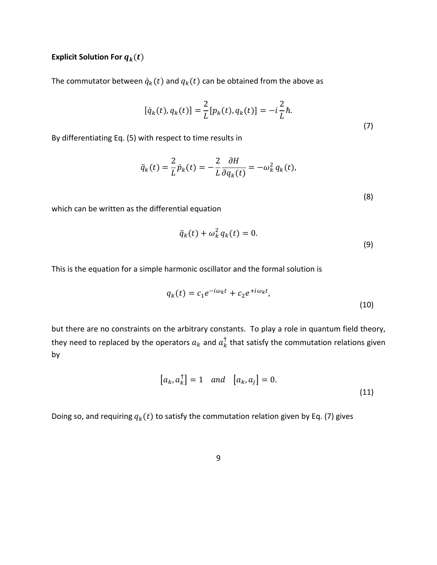### **Explicit Solution For**  $q_k(t)$

The commutator between  $\dot{q}_k(t)$  and  $q_k(t)$  can be obtained from the above as

$$
[\dot{q}_k(t), q_k(t)] = \frac{2}{L} [p_k(t), q_k(t)] = -i \frac{2}{L} \hbar.
$$
\n(7)

By differentiating Eq. (5) with respect to time results in

$$
\ddot{q}_k(t) = \frac{2}{L}\dot{p}_k(t) = -\frac{2}{L}\frac{\partial H}{\partial q_k(t)} = -\omega_k^2 q_k(t),
$$

which can be written as the differential equation

$$
\ddot{q}_k(t) + \omega_k^2 q_k(t) = 0.
$$
\n(9)

(8)

This is the equation for a simple harmonic oscillator and the formal solution is

$$
q_k(t) = c_1 e^{-i\omega_k t} + c_2 e^{+i\omega_k t},
$$
\n(10)

but there are no constraints on the arbitrary constants. To play a role in quantum field theory, they need to replaced by the operators  $a_k$  and  $a_k^{\dagger}$  that satisfy the commutation relations given by

$$
[a_k, a_k^{\dagger}] = 1 \quad and \quad [a_k, a_j] = 0.
$$
 (11)

Doing so, and requiring  $q_k(t)$  to satisfy the commutation relation given by Eq. (7) gives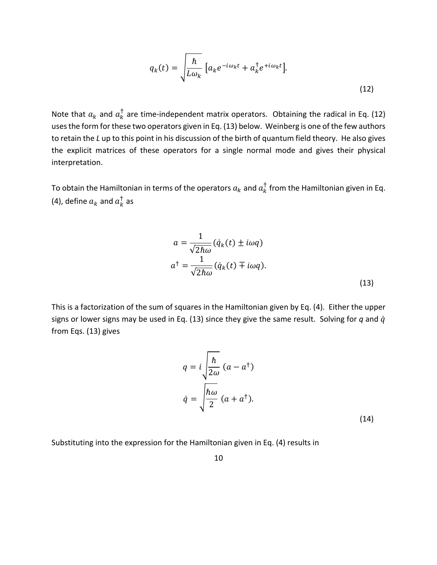$$
q_k(t) = \sqrt{\frac{\hbar}{L\omega_k}} \left[ a_k e^{-i\omega_k t} + a_k^{\dagger} e^{+i\omega_k t} \right].
$$
\n(12)

Note that  $a_k$  and  $a_k^{\dagger}$  are time-independent matrix operators. Obtaining the radical in Eq. (12) uses the form for these two operators given in Eq. (13) below. Weinberg is one of the few authors to retain the *L* up to this point in his discussion of the birth of quantum field theory. He also gives the explicit matrices of these operators for a single normal mode and gives their physical interpretation.

To obtain the Hamiltonian in terms of the operators  $a_k$  and  $a_k^\dagger$  from the Hamiltonian given in Eq. (4), define  $a_k$  and  $a_k^{\dagger}$  as

$$
a = \frac{1}{\sqrt{2\hbar\omega}} (\dot{q}_k(t) \pm i\omega q)
$$
  

$$
a^{\dagger} = \frac{1}{\sqrt{2\hbar\omega}} (\dot{q}_k(t) \mp i\omega q).
$$
 (13)

This is a factorization of the sum of squares in the Hamiltonian given by Eq. (4). Either the upper signs or lower signs may be used in Eq. (13) since they give the same result. Solving for *q* and ̇ from Eqs. (13) gives

$$
q = i \sqrt{\frac{\hbar}{2\omega}} (a - a^{\dagger})
$$

$$
\dot{q} = \sqrt{\frac{\hbar \omega}{2}} (a + a^{\dagger}).
$$
(14)

Substituting into the expression for the Hamiltonian given in Eq. (4) results in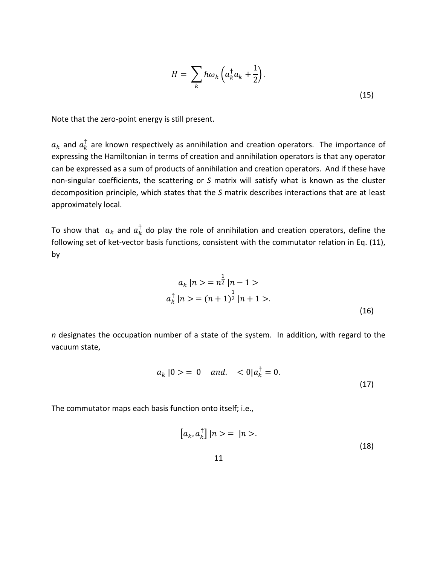$$
H = \sum_{k} \hbar \omega_k \left( a_k^{\dagger} a_k + \frac{1}{2} \right).
$$
\n(15)

Note that the zero-point energy is still present.

 $a_k$  and  $a_k^{\dagger}$  are known respectively as annihilation and creation operators. The importance of expressing the Hamiltonian in terms of creation and annihilation operators is that any operator can be expressed as a sum of products of annihilation and creation operators. And if these have non-singular coefficients, the scattering or *S* matrix will satisfy what is known as the cluster decomposition principle, which states that the *S* matrix describes interactions that are at least approximately local.

To show that  $a_k$  and  $a_k^{\dagger}$  do play the role of annihilation and creation operators, define the following set of ket-vector basis functions, consistent with the commutator relation in Eq. (11), by

$$
a_k |n \rangle = n^{\frac{1}{2}} |n - 1 \rangle
$$
  
\n
$$
a_k^{\dagger} |n \rangle = (n + 1)^{\frac{1}{2}} |n + 1 \rangle.
$$
  
\n(16)

*n* designates the occupation number of a state of the system. In addition, with regard to the vacuum state,

$$
a_k |0\rangle = 0
$$
 and.  $<0|a_k^{\dagger} = 0.$  (17)

The commutator maps each basis function onto itself; i.e.,

$$
\left[a_k, a_k^{\dagger}\right]|n\rangle = |n\rangle. \tag{18}
$$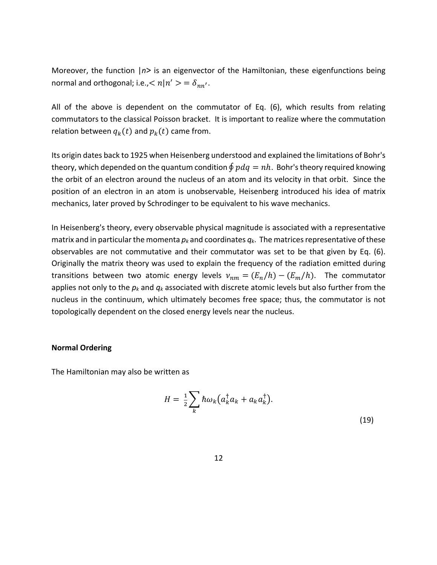Moreover, the function |*n*> is an eigenvector of the Hamiltonian, these eigenfunctions being normal and orthogonal; i.e.,  $\langle n|n'\rangle = \delta_{nn'}$ .

All of the above is dependent on the commutator of Eq. (6), which results from relating commutators to the classical Poisson bracket. It is important to realize where the commutation relation between  $q_k(t)$  and  $p_k(t)$  came from.

Its origin dates back to 1925 when Heisenberg understood and explained the limitations of Bohr's theory, which depended on the quantum condition  $\oint pdq = nh$ . Bohr's theory required knowing the orbit of an electron around the nucleus of an atom and its velocity in that orbit. Since the position of an electron in an atom is unobservable, Heisenberg introduced his idea of matrix mechanics, later proved by Schrodinger to be equivalent to his wave mechanics.

In Heisenberg's theory, every observable physical magnitude is associated with a representative matrix and in particular the momenta  $p_k$  and coordinates  $q_k$ . The matrices representative of these observables are not commutative and their commutator was set to be that given by Eq. (6). Originally the matrix theory was used to explain the frequency of the radiation emitted during transitions between two atomic energy levels  $v_{nm} = (E_n/h) - (E_m/h)$ . The commutator applies not only to the *pk* and *qk* associated with discrete atomic levels but also further from the nucleus in the continuum, which ultimately becomes free space; thus, the commutator is not topologically dependent on the closed energy levels near the nucleus.

#### **Normal Ordering**

The Hamiltonian may also be written as

$$
H = \frac{1}{2} \sum_{k} \hbar \omega_k \left( a_k^{\dagger} a_k + a_k a_k^{\dagger} \right).
$$
\n(19)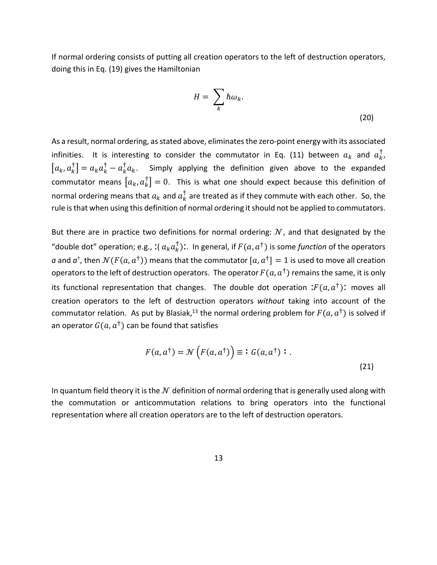If normal ordering consists of putting all creation operators to the left of destruction operators, doing this in Eq. (19) gives the Hamiltonian

$$
H = \sum_{k} \hbar \omega_{k}.
$$
 (20)

As a result, normal ordering, as stated above, eliminates the zero-point energy with its associated infinities. It is interesting to consider the commutator in Eq. (11) between  $a_k$  and  $a_{k}^{\dagger}$ ,  $[a_k, a_k^{\dagger}] = a_k a_k^{\dagger} - a_k^{\dagger} a_k$ . Simply applying the definition given above to the expanded commutator means  $\left[a_k, a_k^\dagger\right] = 0$ . This is what one should expect because this definition of normal ordering means that  $a_k$  and  $a_k^{\dagger}$  are treated as if they commute with each other. So, the rule is that when using this definition of normal ordering it should not be applied to commutators.

But there are in practice two definitions for normal ordering:  $N$ , and that designated by the "double dot" operation; e.g., :( $a_k a_k^{\dagger}$ ):. In general, if  $F(a, a^{\dagger})$  is some *function* of the operators a and  $a^{\dagger}$ , then  $\mathcal{N}(F(a, a^{\dagger}))$  means that the commutator  $[a, a^{\dagger}] = 1$  is used to move all creation operators to the left of destruction operators. The operator  $F(a, a^{\dagger})$  remains the same, it is only its functional representation that changes. The double dot operation : $F(a, a^{\dagger})$ : moves all creation operators to the left of destruction operators *without* taking into account of the commutator relation. As put by Blasiak,<sup>13</sup> the normal ordering problem for  $F(a, a^{\dagger})$  is solved if an operator  $G(a, a^{\dagger})$  can be found that satisfies

$$
F(a, a^{\dagger}) = \mathcal{N}\left(F(a, a^{\dagger})\right) \equiv \mathbf{i} \ G(a, a^{\dagger}) \ \mathbf{i} \ .
$$
 (21)

In quantum field theory it is the  $\mathcal N$  definition of normal ordering that is generally used along with the commutation or anticommutation relations to bring operators into the functional representation where all creation operators are to the left of destruction operators.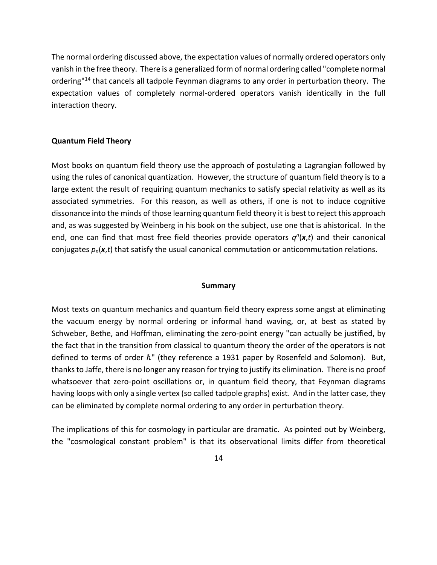The normal ordering discussed above, the expectation values of normally ordered operators only vanish in the free theory. There is a generalized form of normal ordering called "complete normal ordering<sup>"14</sup> that cancels all tadpole Feynman diagrams to any order in perturbation theory. The expectation values of completely normal-ordered operators vanish identically in the full interaction theory.

#### **Quantum Field Theory**

Most books on quantum field theory use the approach of postulating a Lagrangian followed by using the rules of canonical quantization. However, the structure of quantum field theory is to a large extent the result of requiring quantum mechanics to satisfy special relativity as well as its associated symmetries. For this reason, as well as others, if one is not to induce cognitive dissonance into the minds of those learning quantum field theory it is best to reject this approach and, as was suggested by Weinberg in his book on the subject, use one that is ahistorical. In the end, one can find that most free field theories provide operators  $q^n(x,t)$  and their canonical conjugates *pn*(*x*,*t*) that satisfy the usual canonical commutation or anticommutation relations.

#### **Summary**

Most texts on quantum mechanics and quantum field theory express some angst at eliminating the vacuum energy by normal ordering or informal hand waving, or, at best as stated by Schweber, Bethe, and Hoffman, eliminating the zero-point energy "can actually be justified, by the fact that in the transition from classical to quantum theory the order of the operators is not defined to terms of order  $\hbar$ " (they reference a 1931 paper by Rosenfeld and Solomon). But, thanks to Jaffe, there is no longer any reason for trying to justify its elimination. There is no proof whatsoever that zero-point oscillations or, in quantum field theory, that Feynman diagrams having loops with only a single vertex (so called tadpole graphs) exist. And in the latter case, they can be eliminated by complete normal ordering to any order in perturbation theory.

The implications of this for cosmology in particular are dramatic. As pointed out by Weinberg, the "cosmological constant problem" is that its observational limits differ from theoretical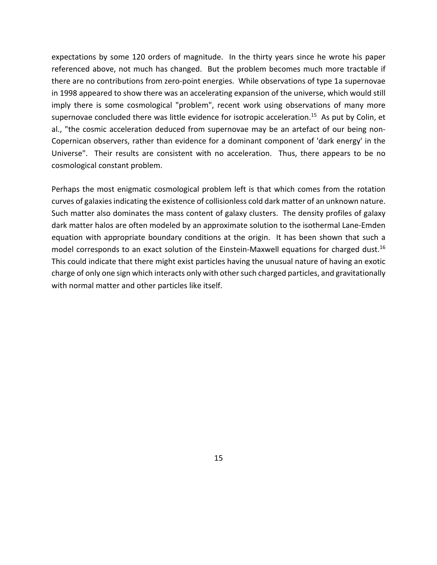expectations by some 120 orders of magnitude. In the thirty years since he wrote his paper referenced above, not much has changed. But the problem becomes much more tractable if there are no contributions from zero-point energies. While observations of type 1a supernovae in 1998 appeared to show there was an accelerating expansion of the universe, which would still imply there is some cosmological "problem", recent work using observations of many more supernovae concluded there was little evidence for isotropic acceleration.<sup>15</sup> As put by Colin, et al., "the cosmic acceleration deduced from supernovae may be an artefact of our being non-Copernican observers, rather than evidence for a dominant component of 'dark energy' in the Universe". Their results are consistent with no acceleration. Thus, there appears to be no cosmological constant problem.

Perhaps the most enigmatic cosmological problem left is that which comes from the rotation curves of galaxies indicating the existence of collisionless cold dark matter of an unknown nature. Such matter also dominates the mass content of galaxy clusters. The density profiles of galaxy dark matter halos are often modeled by an approximate solution to the isothermal Lane-Emden equation with appropriate boundary conditions at the origin. It has been shown that such a model corresponds to an exact solution of the Einstein-Maxwell equations for charged dust.<sup>16</sup> This could indicate that there might exist particles having the unusual nature of having an exotic charge of only one sign which interacts only with other such charged particles, and gravitationally with normal matter and other particles like itself.